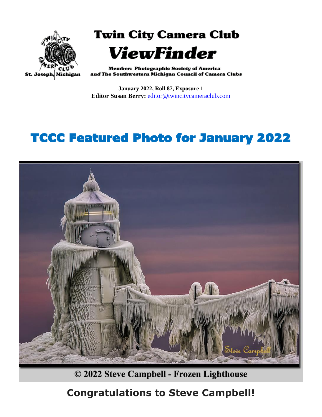

**Twin City Camera Club ViewFinder** 

**Member: Photographic Society of America** and The Southwestern Michigan Council of Camera Clubs

**January 2022, Roll 87, Exposure 1 Editor Susan Berry:** [editor@twincitycameraclub.com](mailto:editor@twincitycameraclub.com)

## TCCC Featured Photo for January 2022



© 2022 Steve Campbell - Frozen Lighthouse

### **Congratulations to Steve Campbell!**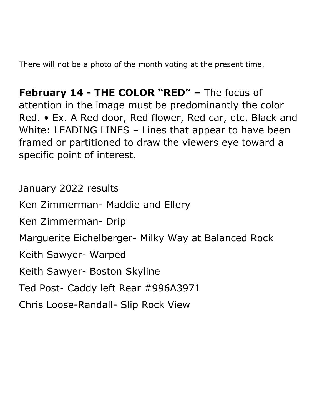There will not be a photo of the month voting at the present time.

**February 14 - THE COLOR "RED" –** The focus of attention in the image must be predominantly the color Red. • Ex. A Red door, Red flower, Red car, etc. Black and White: LEADING LINES – Lines that appear to have been framed or partitioned to draw the viewers eye toward a specific point of interest.

January 2022 results Ken Zimmerman- Maddie and Ellery Ken Zimmerman- Drip Marguerite Eichelberger- Milky Way at Balanced Rock Keith Sawyer- Warped Keith Sawyer- Boston Skyline Ted Post- Caddy left Rear #996A3971 Chris Loose-Randall- Slip Rock View